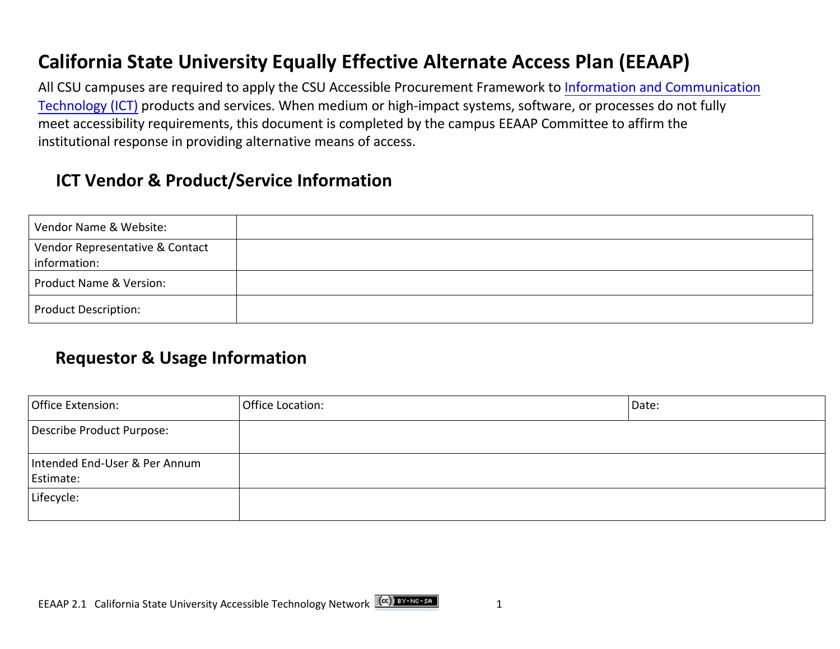## **California State University Equally Effective Alternate Access Plan (EEAAP)**

 institutional response in providing alternative means of access. All CSU campuses are [required to apply the CSU Accessible Procurement Framework to Information and Communication](https://www.federalregister.gov/d/2017-00395/p-373) Technology (ICT) products and services. When medium or high-impact systems, software, or processes do not fully meet accessibility requirements, this document is completed by the campus EEAAP Committee to affirm the

#### **ICT Vendor & Product/Service Information**

| Vendor Name & Website:          |  |
|---------------------------------|--|
| Vendor Representative & Contact |  |
| information:                    |  |
| Product Name & Version:         |  |
| Product Description:            |  |

#### **Requestor & Usage Information**

| Office Extension:                          | Office Location: | Date: |
|--------------------------------------------|------------------|-------|
| Describe Product Purpose:                  |                  |       |
| Intended End-User & Per Annum<br>Estimate: |                  |       |
| Lifecycle:                                 |                  |       |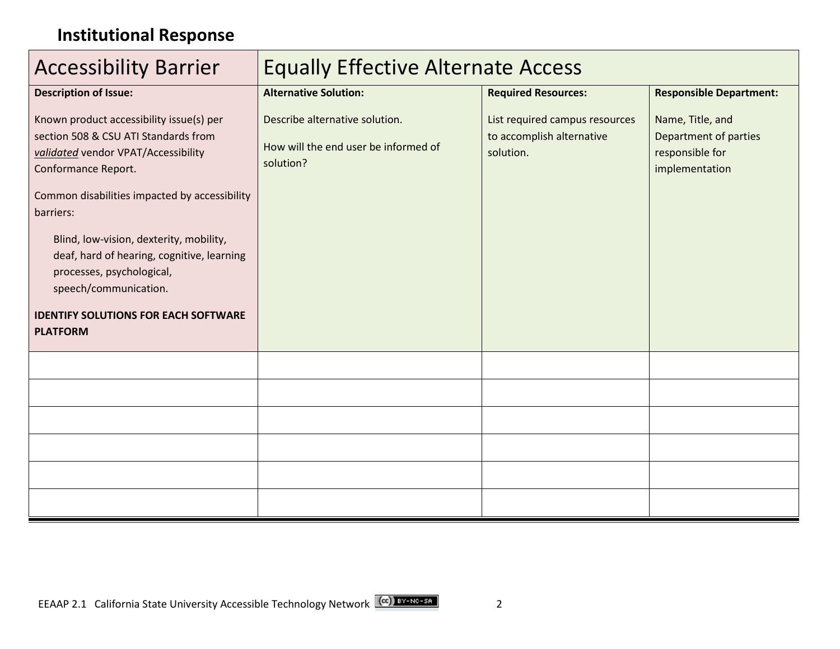# **Institutional Response**

| <b>Accessibility Barrier</b>                                                                                                                   | <b>Equally Effective Alternate Access</b>                                           |                                                                          |                                                                                       |
|------------------------------------------------------------------------------------------------------------------------------------------------|-------------------------------------------------------------------------------------|--------------------------------------------------------------------------|---------------------------------------------------------------------------------------|
| <b>Description of Issue:</b>                                                                                                                   | <b>Alternative Solution:</b>                                                        | <b>Required Resources:</b>                                               | <b>Responsible Department:</b>                                                        |
| Known product accessibility issue(s) per<br>section 508 & CSU ATI Standards from<br>validated vendor VPAT/Accessibility<br>Conformance Report. | Describe alternative solution.<br>How will the end user be informed of<br>solution? | List required campus resources<br>to accomplish alternative<br>solution. | Name, Title, and<br><b>Department of parties</b><br>responsible for<br>implementation |
| Common disabilities impacted by accessibility<br>barriers:                                                                                     |                                                                                     |                                                                          |                                                                                       |
| Blind, low-vision, dexterity, mobility,<br>deaf, hard of hearing, cognitive, learning<br>processes, psychological,<br>speech/communication.    |                                                                                     |                                                                          |                                                                                       |
| <b>IDENTIFY SOLUTIONS FOR EACH SOFTWARE</b><br><b>PLATFORM</b>                                                                                 |                                                                                     |                                                                          |                                                                                       |
|                                                                                                                                                |                                                                                     |                                                                          |                                                                                       |
|                                                                                                                                                |                                                                                     |                                                                          |                                                                                       |
|                                                                                                                                                |                                                                                     |                                                                          |                                                                                       |
|                                                                                                                                                |                                                                                     |                                                                          |                                                                                       |
|                                                                                                                                                |                                                                                     |                                                                          |                                                                                       |
|                                                                                                                                                |                                                                                     |                                                                          |                                                                                       |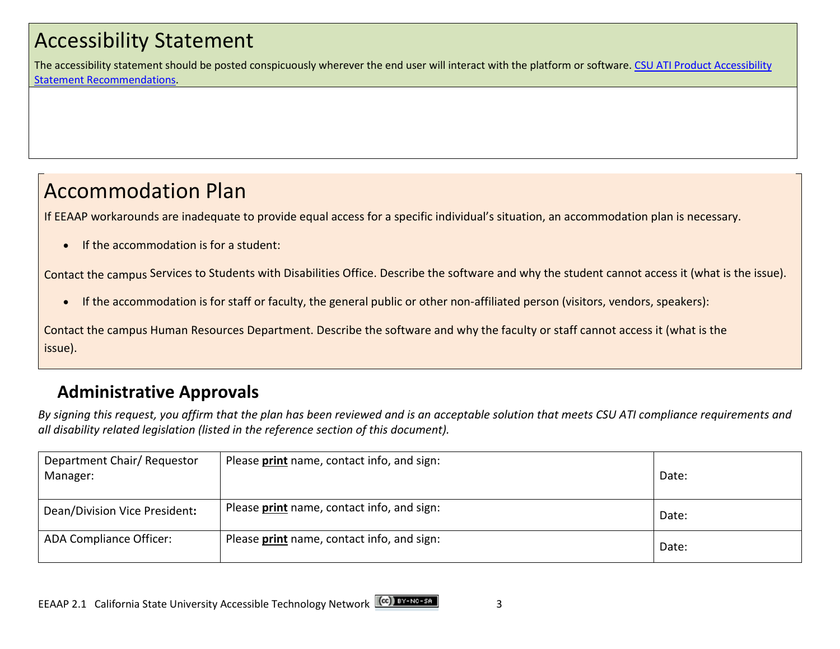# Accessibility Statement

The accessibility statement should be posted conspicuously wherever the end user will interact with the platform or software. CSU ATI Product Accessibility Statement Recommendations.

# Accommodation Plan

If EEAAP workarounds are inadequate to provide equal access for a specific individual's situation, an accommodation plan is necessary.

• If the accommodation is for a student:

Contact the campus Services to Students with Disabilities Office. Describe the software and why the student cannot access it (what is the issue).

• If the accommodation is for staff or faculty, the general public or other non-affiliated person (visitors, vendors, speakers):

Contact the campus Human Resources Department. Describe the software and why the faculty or staff cannot access it (what is the issue).

## **Administrative Approvals**

 *By signing this request, you affirm that the plan has been reviewed and is an acceptable solution that meets CSU ATI compliance requirements and all disability related legislation (listed in the reference section of this document).* 

| Department Chair/ Requestor<br>Manager: | Please print name, contact info, and sign: | Date: |
|-----------------------------------------|--------------------------------------------|-------|
| Dean/Division Vice President:           | Please print name, contact info, and sign: | Date: |
| ADA Compliance Officer:                 | Please print name, contact info, and sign: | Date: |